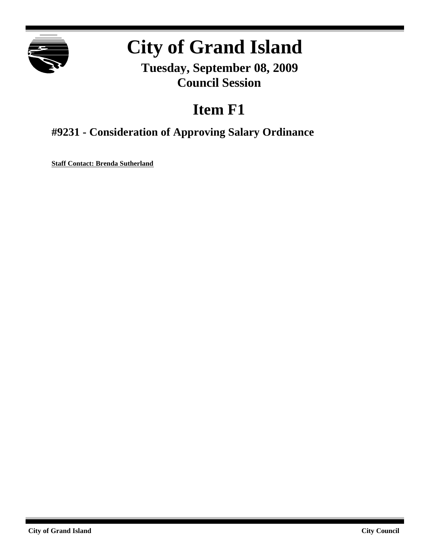

# **City of Grand Island**

**Tuesday, September 08, 2009 Council Session**

## **Item F1**

## **#9231 - Consideration of Approving Salary Ordinance**

**Staff Contact: Brenda Sutherland**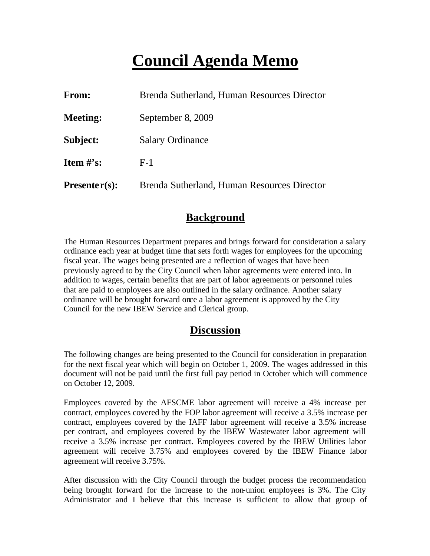## **Council Agenda Memo**

| From:           | Brenda Sutherland, Human Resources Director |
|-----------------|---------------------------------------------|
| <b>Meeting:</b> | September 8, 2009                           |
| Subject:        | <b>Salary Ordinance</b>                     |
| Item $\#$ 's:   | $F-1$                                       |
| $Presenter(s):$ | Brenda Sutherland, Human Resources Director |

## **Background**

The Human Resources Department prepares and brings forward for consideration a salary ordinance each year at budget time that sets forth wages for employees for the upcoming fiscal year. The wages being presented are a reflection of wages that have been previously agreed to by the City Council when labor agreements were entered into. In addition to wages, certain benefits that are part of labor agreements or personnel rules that are paid to employees are also outlined in the salary ordinance. Another salary ordinance will be brought forward once a labor agreement is approved by the City Council for the new IBEW Service and Clerical group.

## **Discussion**

The following changes are being presented to the Council for consideration in preparation for the next fiscal year which will begin on October 1, 2009. The wages addressed in this document will not be paid until the first full pay period in October which will commence on October 12, 2009.

Employees covered by the AFSCME labor agreement will receive a 4% increase per contract, employees covered by the FOP labor agreement will receive a 3.5% increase per contract, employees covered by the IAFF labor agreement will receive a 3.5% increase per contract, and employees covered by the IBEW Wastewater labor agreement will receive a 3.5% increase per contract. Employees covered by the IBEW Utilities labor agreement will receive 3.75% and employees covered by the IBEW Finance labor agreement will receive 3.75%.

After discussion with the City Council through the budget process the recommendation being brought forward for the increase to the non-union employees is 3%. The City Administrator and I believe that this increase is sufficient to allow that group of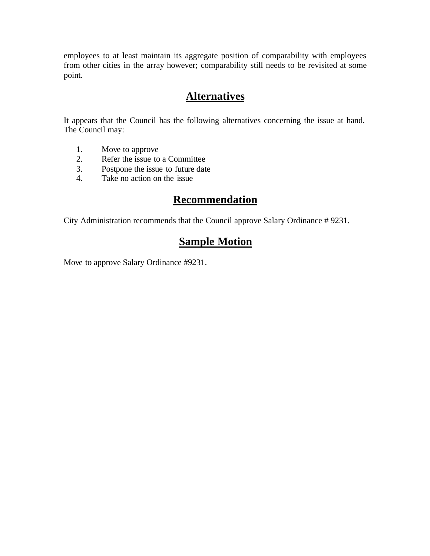employees to at least maintain its aggregate position of comparability with employees from other cities in the array however; comparability still needs to be revisited at some point.

## **Alternatives**

It appears that the Council has the following alternatives concerning the issue at hand. The Council may:

- 1. Move to approve<br>2. Refer the issue to
- 2. Refer the issue to a Committee
- 3. Postpone the issue to future date
- 4. Take no action on the issue

## **Recommendation**

City Administration recommends that the Council approve Salary Ordinance # 9231.

## **Sample Motion**

Move to approve Salary Ordinance #9231.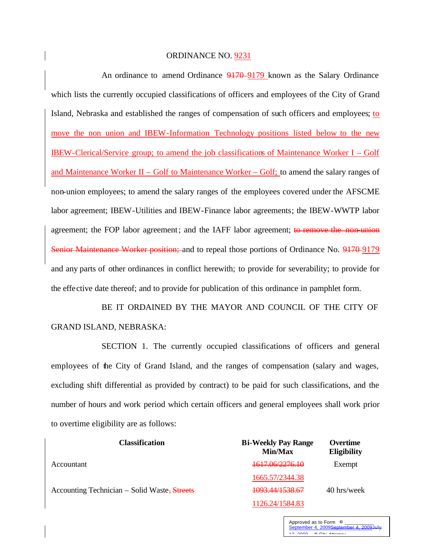#### ORDINANCE NO. 9231

An ordinance to amend Ordinance 9170-9179 known as the Salary Ordinance which lists the currently occupied classifications of officers and employees of the City of Grand Island, Nebraska and established the ranges of compensation of such officers and employees; to move the non union and IBEW-Information Technology positions listed below to the new IBEW-Clerical/Service group; to amend the job classifications of Maintenance Worker I – Golf and Maintenance Worker II – Golf to Maintenance Worker – Golf; to amend the salary ranges of non-union employees; to amend the salary ranges of the employees covered under the AFSCME labor agreement; IBEW-Utilities and IBEW-Finance labor agreements; the IBEW-WWTP labor agreement; the FOP labor agreement; and the IAFF labor agreement; to remove the non-union Senior Maintenance Worker position; and to repeal those portions of Ordinance No. 9170-9179 and any parts of other ordinances in conflict herewith; to provide for severability; to provide for the effective date thereof; and to provide for publication of this ordinance in pamphlet form.

BE IT ORDAINED BY THE MAYOR AND COUNCIL OF THE CITY OF GRAND ISLAND, NEBRASKA:

SECTION 1. The currently occupied classifications of officers and general employees of the City of Grand Island, and the ranges of compensation (salary and wages, excluding shift differential as provided by contract) to be paid for such classifications, and the number of hours and work period which certain officers and general employees shall work prior to overtime eligibility are as follows:

| <b>Classification</b>                        | <b>Bi-Weekly Pay Range</b><br>Min/Max | Overtime<br><b>Eligibility</b> |
|----------------------------------------------|---------------------------------------|--------------------------------|
| Accountant                                   | 1617.06/2276.10                       | Exempt                         |
|                                              | 1665.57/2344.38                       |                                |
| Accounting Technician – Solid Waste, Streets | <del>1093.44/1538.67</del>            | 40 hrs/week                    |
|                                              | 1126.24/1584.83                       |                                |

Approved as to Form  $\overline{a}$ <br>Sentamber 4, 2009 Sentamber 4, 2009 July tember 4, 2009  $B$  City Attorney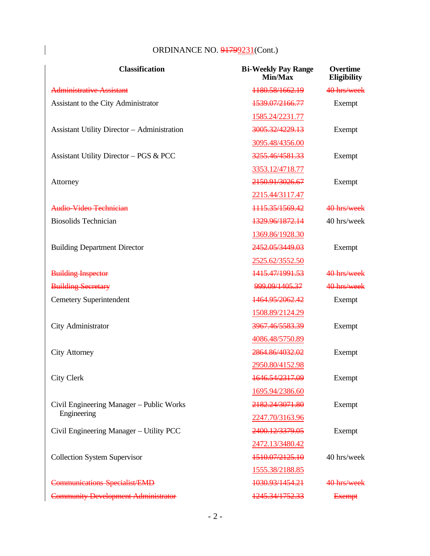| <b>Classification</b>                              | <b>Bi-Weekly Pay Range</b><br>Min/Max | <b>Overtime</b><br><b>Eligibility</b> |
|----------------------------------------------------|---------------------------------------|---------------------------------------|
| <b>Administrative Assistant</b>                    | 1180.58/1662.19                       | 40 hrs/week                           |
| Assistant to the City Administrator                | 1539.07/2166.77                       | Exempt                                |
|                                                    | 1585.24/2231.77                       |                                       |
| <b>Assistant Utility Director - Administration</b> | 3005.32/4229.13                       | Exempt                                |
|                                                    | 3095.48/4356.00                       |                                       |
| <b>Assistant Utility Director - PGS &amp; PCC</b>  | 3255.46/4581.33                       | Exempt                                |
|                                                    | 3353.12/4718.77                       |                                       |
| Attorney                                           | 2150.91/3026.67                       | Exempt                                |
|                                                    | 2215.44/3117.47                       |                                       |
| Audio Video Technician                             | 1115.35/1569.42                       | 40 hrs/week                           |
| <b>Biosolids Technician</b>                        | 1329.96/1872.14                       | 40 hrs/week                           |
|                                                    | 1369.86/1928.30                       |                                       |
| <b>Building Department Director</b>                | 2452.05/3449.03                       | Exempt                                |
|                                                    | 2525.62/3552.50                       |                                       |
| <b>Building Inspector</b>                          | 1415.47/1991.53                       | 40 hrs/week                           |
| <b>Building Secretary</b>                          | 999.09/1405.37                        | 40 hrs/week                           |
| <b>Cemetery Superintendent</b>                     | 1464.95/2062.42                       | Exempt                                |
|                                                    | 1508.89/2124.29                       |                                       |
| City Administrator                                 | 3967.46/5583.39                       | Exempt                                |
|                                                    | 4086.48/5750.89                       |                                       |
| <b>City Attorney</b>                               | 2864.86/4032.02                       | Exempt                                |
|                                                    | 2950.80/4152.98                       |                                       |
| <b>City Clerk</b>                                  | 1646.54/2317.09                       | Exempt                                |
|                                                    | 1695.94/2386.60                       |                                       |
| Civil Engineering Manager – Public Works           | 2182.24/3071.80                       | Exempt                                |
| Engineering                                        | 2247.70/3163.96                       |                                       |
| Civil Engineering Manager - Utility PCC            | 2400.12/3379.05                       | Exempt                                |
|                                                    | 2472.13/3480.42                       |                                       |
| <b>Collection System Supervisor</b>                | 1510.07/2125.10                       | 40 hrs/week                           |
|                                                    | 1555.38/2188.85                       |                                       |
| <b>Communications Specialist/EMD</b>               | 1030.93/1454.21                       | 40 hrs/week                           |
| <b>Community Development Administrator</b>         | 1245.34/1752.33                       | <b>Exempt</b>                         |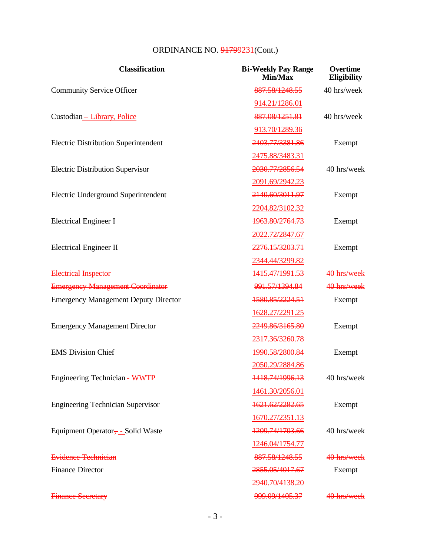| <b>Classification</b>                         | <b>Bi-Weekly Pay Range</b><br>Min/Max | Overtime<br><b>Eligibility</b> |
|-----------------------------------------------|---------------------------------------|--------------------------------|
| <b>Community Service Officer</b>              | 887.58/1248.55                        | 40 hrs/week                    |
|                                               | 914.21/1286.01                        |                                |
| Custodian - Library, Police                   | 887.08/1251.81                        | 40 hrs/week                    |
|                                               | 913.70/1289.36                        |                                |
| <b>Electric Distribution Superintendent</b>   | 2403.77/3381.86                       | Exempt                         |
|                                               | 2475.88/3483.31                       |                                |
| <b>Electric Distribution Supervisor</b>       | 2030.77/2856.54                       | 40 hrs/week                    |
|                                               | 2091.69/2942.23                       |                                |
| Electric Underground Superintendent           | 2140.60/3011.97                       | Exempt                         |
|                                               | 2204.82/3102.32                       |                                |
| <b>Electrical Engineer I</b>                  | 1963.80/2764.73                       | Exempt                         |
|                                               | 2022.72/2847.67                       |                                |
| <b>Electrical Engineer II</b>                 | 2276.15/3203.71                       | Exempt                         |
|                                               | 2344.44/3299.82                       |                                |
| <b>Electrical Inspector</b>                   | 1415.47/1991.53                       | 40 hrs/week                    |
| <b>Emergency Management Coordinator</b>       | 991.57/1394.84                        | 40 hrs/week                    |
| <b>Emergency Management Deputy Director</b>   | 1580.85/2224.51                       | Exempt                         |
|                                               | 1628.27/2291.25                       |                                |
| <b>Emergency Management Director</b>          | 2249.86/3165.80                       | Exempt                         |
|                                               | 2317.36/3260.78                       |                                |
| <b>EMS</b> Division Chief                     | 1990.58/2800.84                       | Exempt                         |
|                                               | 2050.29/2884.86                       |                                |
| Engineering Technician - WWTP                 | 1418.74/1996.13                       | 40 hrs/week                    |
|                                               | 1461.30/2056.01                       |                                |
| <b>Engineering Technician Supervisor</b>      | 1621.62/2282.65                       | Exempt                         |
|                                               | 1670.27/2351.13                       |                                |
| Equipment Operator <sub>y</sub> - Solid Waste | 1209.74/1703.66                       | 40 hrs/week                    |
|                                               | 1246.04/1754.77                       |                                |
| Evidence Technician                           | 887.58/1248.55                        | 40 hrs/week                    |
| <b>Finance Director</b>                       | 2855.05/4017.67                       | Exempt                         |
|                                               | 2940.70/4138.20                       |                                |
| <b>Finance Secretary</b>                      | 999.09/1405.37                        | 40 hrs/week                    |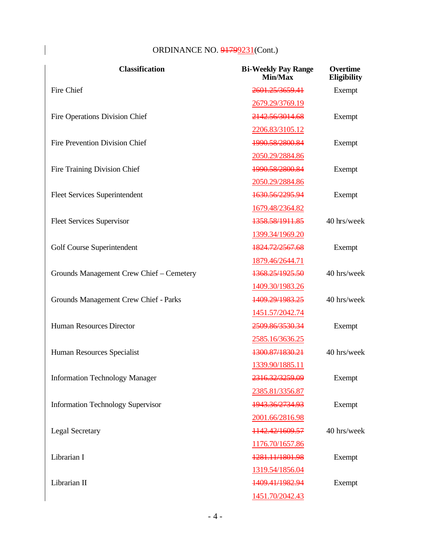| <b>Classification</b>                    | <b>Bi-Weekly Pay Range</b><br>Min/Max | Overtime<br>Eligibility |
|------------------------------------------|---------------------------------------|-------------------------|
| <b>Fire Chief</b>                        | 2601.25/3659.41                       | Exempt                  |
|                                          | 2679.29/3769.19                       |                         |
| <b>Fire Operations Division Chief</b>    | 2142.56/3014.68                       | Exempt                  |
|                                          | 2206.83/3105.12                       |                         |
| <b>Fire Prevention Division Chief</b>    | 1990.58/2800.84                       | Exempt                  |
|                                          | 2050.29/2884.86                       |                         |
| Fire Training Division Chief             | 1990.58/2800.84                       | Exempt                  |
|                                          | 2050.29/2884.86                       |                         |
| <b>Fleet Services Superintendent</b>     | 1630.56/2295.94                       | Exempt                  |
|                                          | 1679.48/2364.82                       |                         |
| <b>Fleet Services Supervisor</b>         | 1358.58/1911.85                       | 40 hrs/week             |
|                                          | 1399.34/1969.20                       |                         |
| Golf Course Superintendent               | 1824.72/2567.68                       | Exempt                  |
|                                          | 1879.46/2644.71                       |                         |
| Grounds Management Crew Chief - Cemetery | 1368.25/1925.50                       | 40 hrs/week             |
|                                          | 1409.30/1983.26                       |                         |
| Grounds Management Crew Chief - Parks    | 1409.29/1983.25                       | 40 hrs/week             |
|                                          | 1451.57/2042.74                       |                         |
| Human Resources Director                 | 2509.86/3530.34                       | Exempt                  |
|                                          | 2585.16/3636.25                       |                         |
| Human Resources Specialist               | 1300.87/1830.21                       | 40 hrs/week             |
|                                          | 1339.90/1885.11                       |                         |
| <b>Information Technology Manager</b>    | 2316.32/3259.09                       | Exempt                  |
|                                          | 2385.81/3356.87                       |                         |
| <b>Information Technology Supervisor</b> | 1943.36/2734.93                       | Exempt                  |
|                                          | 2001.66/2816.98                       |                         |
| <b>Legal Secretary</b>                   | 1142.42/1609.57                       | 40 hrs/week             |
|                                          | 1176.70/1657.86                       |                         |
| Librarian I                              | 1281.11/1801.98                       | Exempt                  |
|                                          | 1319.54/1856.04                       |                         |
| Librarian II                             | 1409.41/1982.94                       | Exempt                  |
|                                          | 1451.70/2042.43                       |                         |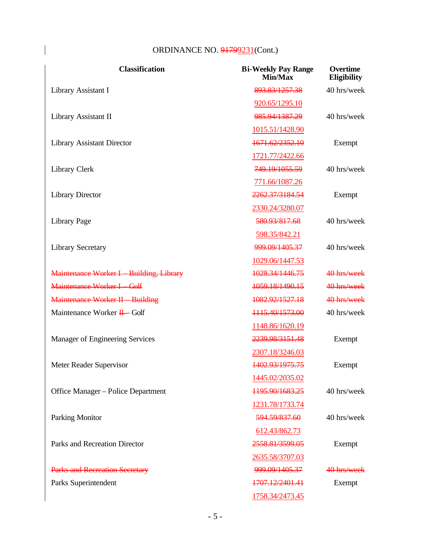| <b>Classification</b>                  | <b>Bi-Weekly Pay Range</b><br>Min/Max | <b>Overtime</b><br><b>Eligibility</b> |
|----------------------------------------|---------------------------------------|---------------------------------------|
| Library Assistant I                    | 893.83/1257.38                        | 40 hrs/week                           |
|                                        | 920.65/1295.10                        |                                       |
| Library Assistant II                   | 985.94/1387.29                        | 40 hrs/week                           |
|                                        | 1015.51/1428.90                       |                                       |
| <b>Library Assistant Director</b>      | 1671.62/2352.10                       | Exempt                                |
|                                        | 1721.77/2422.66                       |                                       |
| Library Clerk                          | 749.19/1055.59                        | 40 hrs/week                           |
|                                        | 771.66/1087.26                        |                                       |
| <b>Library Director</b>                | 2262.37/3184.54                       | Exempt                                |
|                                        | 2330.24/3280.07                       |                                       |
| Library Page                           | 580.93/817.68                         | 40 hrs/week                           |
|                                        | 598.35/842.21                         |                                       |
| <b>Library Secretary</b>               | 999.09/1405.37                        | 40 hrs/week                           |
|                                        | 1029.06/1447.53                       |                                       |
| Maintenance Worker I Building, Library | 1028.34/1446.75                       | 40 hrs/week                           |
| Maintenance Worker I Golf              | 1059.18/1490.15                       | 40 hrs/week                           |
| Maintenance Worker II Building         | 1082.92/1527.18                       | 40 hrs/week                           |
| Maintenance Worker H-Golf              | 1115.40/1573.00                       | 40 hrs/week                           |
|                                        | 1148.86/1620.19                       |                                       |
| Manager of Engineering Services        | 2239.98/3151.48                       | Exempt                                |
|                                        | 2307.18/3246.03                       |                                       |
| Meter Reader Supervisor                | 1402.93/1975.75                       | Exempt                                |
|                                        | 1445.02/2035.02                       |                                       |
| Office Manager – Police Department     | 1195.90/1683.25                       | 40 hrs/week                           |
|                                        | 1231.78/1733.74                       |                                       |
| <b>Parking Monitor</b>                 | 594.59/837.60                         | 40 hrs/week                           |
|                                        | 612.43/862.73                         |                                       |
| Parks and Recreation Director          | 2558.81/3599.05                       | Exempt                                |
|                                        | 2635.58/3707.03                       |                                       |
| <b>Parks and Recreation Secretary</b>  | 999.09/1405.37                        | 40 hrs/week                           |
| Parks Superintendent                   | 1707.12/2401.41                       | Exempt                                |
|                                        | 1758.34/2473.45                       |                                       |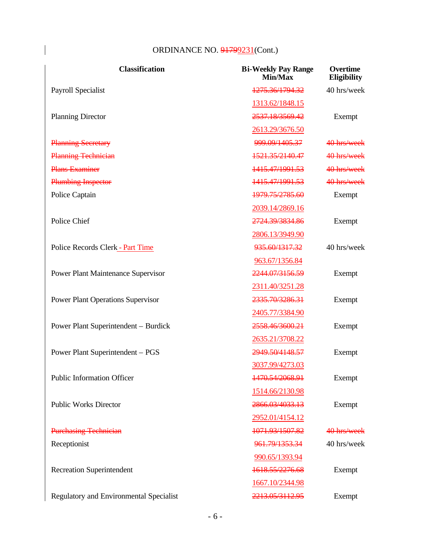| <b>Classification</b>                       | <b>Bi-Weekly Pay Range</b><br>Min/Max | Overtime<br><b>Eligibility</b> |
|---------------------------------------------|---------------------------------------|--------------------------------|
| Payroll Specialist                          | 1275.36/1794.32                       | 40 hrs/week                    |
|                                             | 1313.62/1848.15                       |                                |
| <b>Planning Director</b>                    | 2537.18/3569.42                       | Exempt                         |
|                                             | 2613.29/3676.50                       |                                |
| <b>Planning Secretary</b>                   | 999.09/1405.37                        | 40 hrs/week                    |
| <b>Planning Technician</b>                  | 1521.35/2140.47                       | 40 hrs/week                    |
| <b>Plans Examiner</b>                       | 1415.47/1991.53                       | 40 hrs/week                    |
| <b>Plumbing Inspector</b>                   | 1415.47/1991.53                       | 40 hrs/week                    |
| Police Captain                              | 1979.75/2785.60                       | Exempt                         |
|                                             | 2039.14/2869.16                       |                                |
| Police Chief                                | 2724.39/3834.86                       | Exempt                         |
|                                             | 2806.13/3949.90                       |                                |
| Police Records Clerk - Part Time            | 935.60/1317.32                        | 40 hrs/week                    |
|                                             | 963.67/1356.84                        |                                |
| <b>Power Plant Maintenance Supervisor</b>   | 2244.07/3156.59                       | Exempt                         |
|                                             | 2311.40/3251.28                       |                                |
| <b>Power Plant Operations Supervisor</b>    | 2335.70/3286.31                       | Exempt                         |
|                                             | 2405.77/3384.90                       |                                |
| <b>Power Plant Superintendent - Burdick</b> | 2558.46/3600.21                       | Exempt                         |
|                                             | 2635.21/3708.22                       |                                |
| Power Plant Superintendent - PGS            | 2949.50/4148.57                       | Exempt                         |
|                                             | 3037.99/4273.03                       |                                |
| <b>Public Information Officer</b>           | 1470.54/2068.91                       | Exempt                         |
|                                             | 1514.66/2130.98                       |                                |
| <b>Public Works Director</b>                | 2866.03/4033.13                       | Exempt                         |
|                                             | 2952.01/4154.12                       |                                |
| <b>Purchasing Technician</b>                | 1071.93/1507.82                       | 40 hrs/week                    |
| Receptionist                                | 961.79/1353.34                        | 40 hrs/week                    |
|                                             | 990.65/1393.94                        |                                |
| <b>Recreation Superintendent</b>            | 1618.55/2276.68                       | Exempt                         |
|                                             | 1667.10/2344.98                       |                                |
| Regulatory and Environmental Specialist     | 2213.05/3112.95                       | Exempt                         |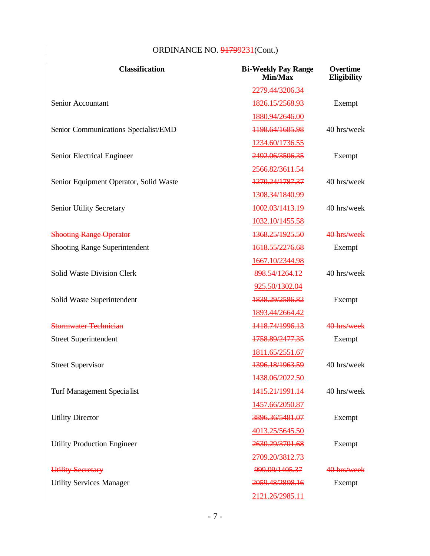| <b>Classification</b>                  | <b>Bi-Weekly Pay Range</b><br>Min/Max | Overtime<br><b>Eligibility</b> |
|----------------------------------------|---------------------------------------|--------------------------------|
|                                        | 2279.44/3206.34                       |                                |
| Senior Accountant                      | 1826.15/2568.93                       | Exempt                         |
|                                        | 1880.94/2646.00                       |                                |
| Senior Communications Specialist/EMD   | 1198.64/1685.98                       | 40 hrs/week                    |
|                                        | 1234.60/1736.55                       |                                |
| Senior Electrical Engineer             | 2492.06/3506.35                       | Exempt                         |
|                                        | 2566.82/3611.54                       |                                |
| Senior Equipment Operator, Solid Waste | 1270.24/1787.37                       | 40 hrs/week                    |
|                                        | 1308.34/1840.99                       |                                |
| Senior Utility Secretary               | 1002.03/1413.19                       | 40 hrs/week                    |
|                                        | 1032.10/1455.58                       |                                |
| <b>Shooting Range Operator</b>         | 1368.25/1925.50                       | 40 hrs/week                    |
| <b>Shooting Range Superintendent</b>   | 1618.55/2276.68                       | Exempt                         |
|                                        | 1667.10/2344.98                       |                                |
| <b>Solid Waste Division Clerk</b>      | 898.54/1264.12                        | 40 hrs/week                    |
|                                        | 925.50/1302.04                        |                                |
| Solid Waste Superintendent             | 1838.29/2586.82                       | Exempt                         |
|                                        | 1893.44/2664.42                       |                                |
| <b>Stormwater Technician</b>           | 1418.74/1996.13                       | 40 hrs/week                    |
| <b>Street Superintendent</b>           | 1758.89/2477.35                       | Exempt                         |
|                                        | 1811.65/2551.67                       |                                |
| <b>Street Supervisor</b>               | 1396.18/1963.59                       | 40 hrs/week                    |
|                                        | 1438.06/2022.50                       |                                |
| Turf Management Specia list            | 1415.21/1991.14                       | 40 hrs/week                    |
|                                        | 1457.66/2050.87                       |                                |
| <b>Utility Director</b>                | 3896.36/5481.07                       | Exempt                         |
|                                        | 4013.25/5645.50                       |                                |
| <b>Utility Production Engineer</b>     | 2630.29/3701.68                       | Exempt                         |
|                                        | 2709.20/3812.73                       |                                |
| Utility Secretary                      | 999.09/1405.37                        | 40 hrs/week                    |
| <b>Utility Services Manager</b>        | 2059.48/2898.16                       | Exempt                         |
|                                        | 2121.26/2985.11                       |                                |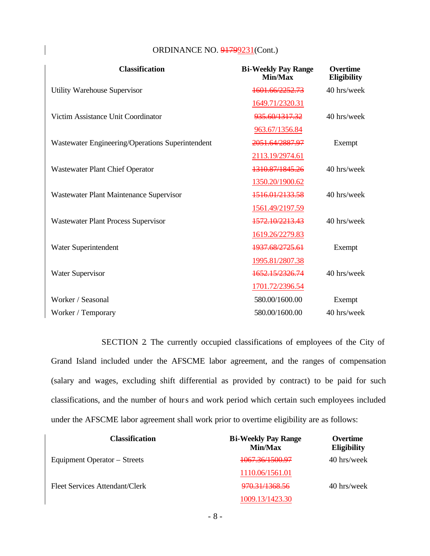| <b>ORDINANCE NO. 91799231 (Cont.)</b> |  |  |
|---------------------------------------|--|--|
|---------------------------------------|--|--|

| <b>Classification</b>                            | <b>Bi-Weekly Pay Range</b><br>Min/Max | <b>Overtime</b><br>Eligibility |
|--------------------------------------------------|---------------------------------------|--------------------------------|
| <b>Utility Warehouse Supervisor</b>              | 1601.66/2252.73                       | 40 hrs/week                    |
|                                                  | 1649.71/2320.31                       |                                |
| Victim Assistance Unit Coordinator               | 935.60/1317.32                        | 40 hrs/week                    |
|                                                  | 963.67/1356.84                        |                                |
| Wastewater Engineering/Operations Superintendent | 2051.64/2887.97                       | Exempt                         |
|                                                  | 2113.19/2974.61                       |                                |
| <b>Wastewater Plant Chief Operator</b>           | 1310.87/1845.26                       | 40 hrs/week                    |
|                                                  | 1350.20/1900.62                       |                                |
| Wastewater Plant Maintenance Supervisor          | 1516.01/2133.58                       | 40 hrs/week                    |
|                                                  | 1561.49/2197.59                       |                                |
| <b>Wastewater Plant Process Supervisor</b>       | 1572.10/2213.43                       | 40 hrs/week                    |
|                                                  | 1619.26/2279.83                       |                                |
| Water Superintendent                             | 1937.68/2725.61                       | Exempt                         |
|                                                  | 1995.81/2807.38                       |                                |
| <b>Water Supervisor</b>                          | 1652.15/2326.74                       | 40 hrs/week                    |
|                                                  | 1701.72/2396.54                       |                                |
| Worker / Seasonal                                | 580.00/1600.00                        | Exempt                         |
| Worker / Temporary                               | 580.00/1600.00                        | 40 hrs/week                    |

SECTION 2. The currently occupied classifications of employees of the City of Grand Island included under the AFSCME labor agreement, and the ranges of compensation (salary and wages, excluding shift differential as provided by contract) to be paid for such classifications, and the number of hours and work period which certain such employees included under the AFSCME labor agreement shall work prior to overtime eligibility are as follows:

| <b>Classification</b>          | <b>Bi-Weekly Pay Range</b><br>Min/Max | <b>Overtime</b><br><b>Eligibility</b> |
|--------------------------------|---------------------------------------|---------------------------------------|
| Equipment Operator – Streets   | <del>1067.36/1500.97</del>            | 40 hrs/week                           |
|                                | 1110.06/1561.01                       |                                       |
| Fleet Services Attendant/Clerk | 970.31/1368.56                        | 40 hrs/week                           |
|                                | 1009.13/1423.30                       |                                       |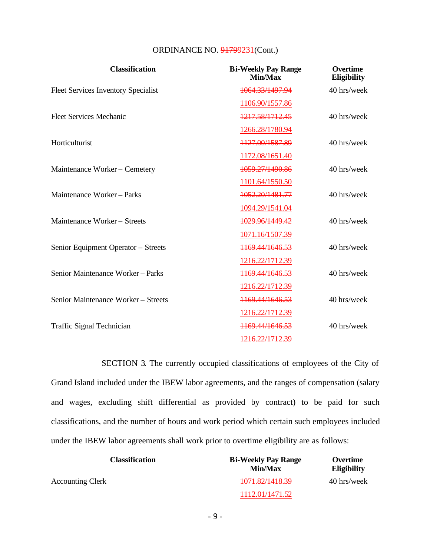| <b>Classification</b>                      | <b>Bi-Weekly Pay Range</b><br>Min/Max | <b>Overtime</b><br><b>Eligibility</b> |
|--------------------------------------------|---------------------------------------|---------------------------------------|
| <b>Fleet Services Inventory Specialist</b> | 1064.33/1497.94                       | 40 hrs/week                           |
|                                            | 1106.90/1557.86                       |                                       |
| <b>Fleet Services Mechanic</b>             | 1217.58/1712.45                       | 40 hrs/week                           |
|                                            | 1266.28/1780.94                       |                                       |
| Horticulturist                             | 1127.00/1587.89                       | 40 hrs/week                           |
|                                            | 1172.08/1651.40                       |                                       |
| Maintenance Worker - Cemetery              | 1059.27/1490.86                       | 40 hrs/week                           |
|                                            | 1101.64/1550.50                       |                                       |
| Maintenance Worker - Parks                 | 1052.20/1481.77                       | 40 hrs/week                           |
|                                            | 1094.29/1541.04                       |                                       |
| Maintenance Worker - Streets               | 1029.96/1449.42                       | 40 hrs/week                           |
|                                            | 1071.16/1507.39                       |                                       |
| Senior Equipment Operator - Streets        | 1169.44/1646.53                       | 40 hrs/week                           |
|                                            | 1216.22/1712.39                       |                                       |
| Senior Maintenance Worker - Parks          | 1169.44/1646.53                       | 40 hrs/week                           |
|                                            | 1216.22/1712.39                       |                                       |
| Senior Maintenance Worker – Streets        | 1169.44/1646.53                       | 40 hrs/week                           |
|                                            | 1216.22/1712.39                       |                                       |
| Traffic Signal Technician                  | 1169.44/1646.53                       | 40 hrs/week                           |
|                                            | 1216.22/1712.39                       |                                       |

SECTION 3. The currently occupied classifications of employees of the City of Grand Island included under the IBEW labor agreements, and the ranges of compensation (salary and wages, excluding shift differential as provided by contract) to be paid for such classifications, and the number of hours and work period which certain such employees included under the IBEW labor agreements shall work prior to overtime eligibility are as follows:

| <b>Classification</b>   | <b>Bi-Weekly Pay Range</b><br>Min/Max | Overtime<br><b>Eligibility</b> |
|-------------------------|---------------------------------------|--------------------------------|
| <b>Accounting Clerk</b> | 1071.82/1418.39                       | 40 hrs/week                    |
|                         | 1112.01/1471.52                       |                                |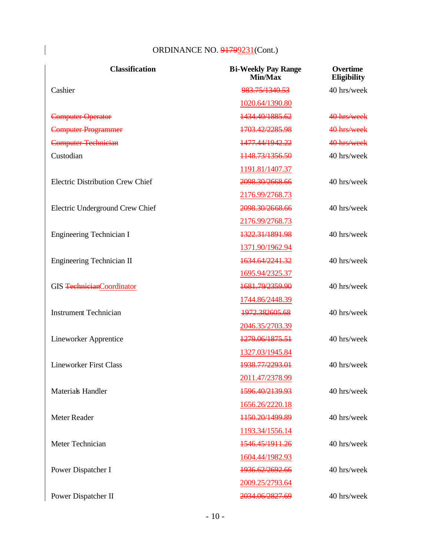| <b>Classification</b>                   | <b>Bi-Weekly Pay Range</b><br>Min/Max | <b>Overtime</b><br><b>Eligibility</b> |
|-----------------------------------------|---------------------------------------|---------------------------------------|
| Cashier                                 | 983.75/1340.53                        | 40 hrs/week                           |
|                                         | 1020.64/1390.80                       |                                       |
| <b>Computer Operator</b>                | 1434.40/1885.62                       | 40 hrs/week                           |
| <b>Computer Programmer</b>              | 1703.42/2285.98                       | 40 hrs/week                           |
| <b>Computer Technician</b>              | 1477.44/1942.22                       | 40 hrs/week                           |
| Custodian                               | 1148.73/1356.50                       | 40 hrs/week                           |
|                                         | 1191.81/1407.37                       |                                       |
| <b>Electric Distribution Crew Chief</b> | 2098.30/2668.66                       | 40 hrs/week                           |
|                                         | 2176.99/2768.73                       |                                       |
| Electric Underground Crew Chief         | 2098.30/2668.66                       | 40 hrs/week                           |
|                                         | 2176.99/2768.73                       |                                       |
| <b>Engineering Technician I</b>         | 1322.31/1891.98                       | 40 hrs/week                           |
|                                         | 1371.90/1962.94                       |                                       |
| <b>Engineering Technician II</b>        | 1634.64/2241.32                       | 40 hrs/week                           |
|                                         | 1695.94/2325.37                       |                                       |
| GIS TechnicianCoordinator               | 1681.79/2359.90                       | 40 hrs/week                           |
|                                         | 1744.86/2448.39                       |                                       |
| <b>Instrument Technician</b>            | 1972.382605.68                        | 40 hrs/week                           |
|                                         | 2046.35/2703.39                       |                                       |
| <b>Lineworker Apprentice</b>            | 1279.06/1875.51                       | 40 hrs/week                           |
|                                         | 1327.03/1945.84                       |                                       |
| <b>Lineworker First Class</b>           | 1938.77/2293.01                       | 40 hrs/week                           |
|                                         | 2011.47/2378.99                       |                                       |
| <b>Materials Handler</b>                | 1596.40/2139.93                       | 40 hrs/week                           |
|                                         | 1656.26/2220.18                       |                                       |
| Meter Reader                            | 1150.20/1499.89                       | 40 hrs/week                           |
|                                         | 1193.34/1556.14                       |                                       |
| Meter Technician                        | 1546.45/1911.26                       | 40 hrs/week                           |
|                                         | 1604.44/1982.93                       |                                       |
| Power Dispatcher I                      | 1936.62/2692.66                       | 40 hrs/week                           |
|                                         | 2009.25/2793.64                       |                                       |
| Power Dispatcher II                     | 2034.06/2827.69                       | 40 hrs/week                           |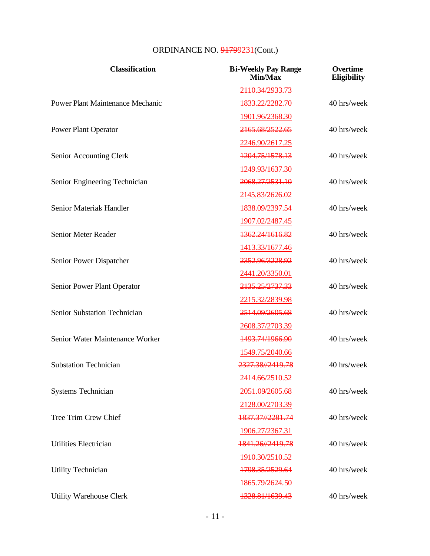| <b>Classification</b>                   | <b>Bi-Weekly Pay Range</b><br>Min/Max | Overtime<br><b>Eligibility</b> |
|-----------------------------------------|---------------------------------------|--------------------------------|
|                                         | 2110.34/2933.73                       |                                |
| <b>Power Plant Maintenance Mechanic</b> | 1833.22/2282.70                       | 40 hrs/week                    |
|                                         | 1901.96/2368.30                       |                                |
| <b>Power Plant Operator</b>             | 2165.68/2522.65                       | 40 hrs/week                    |
|                                         | 2246.90/2617.25                       |                                |
| Senior Accounting Clerk                 | 1204.75/1578.13                       | 40 hrs/week                    |
|                                         | 1249.93/1637.30                       |                                |
| Senior Engineering Technician           | 2068.27/2531.10                       | 40 hrs/week                    |
|                                         | 2145.83/2626.02                       |                                |
| Senior Material Handler                 | 1838.09/2397.54                       | 40 hrs/week                    |
|                                         | 1907.02/2487.45                       |                                |
| Senior Meter Reader                     | 1362.24/1616.82                       | 40 hrs/week                    |
|                                         | 1413.33/1677.46                       |                                |
| Senior Power Dispatcher                 | 2352.96/3228.92                       | 40 hrs/week                    |
|                                         | 2441.20/3350.01                       |                                |
| Senior Power Plant Operator             | 2135.25/2737.33                       | 40 hrs/week                    |
|                                         | 2215.32/2839.98                       |                                |
| Senior Substation Technician            | 2514.09/2605.68                       | 40 hrs/week                    |
|                                         | 2608.37/2703.39                       |                                |
| Senior Water Maintenance Worker         | 1493.74/1966.90                       | 40 hrs/week                    |
|                                         | 1549.75/2040.66                       |                                |
| <b>Substation Technician</b>            | 2327.38//2419.78                      | 40 hrs/week                    |
|                                         | 2414.66/2510.52                       |                                |
| <b>Systems Technician</b>               | 2051.09/2605.68                       | 40 hrs/week                    |
|                                         | 2128.00/2703.39                       |                                |
| Tree Trim Crew Chief                    | 1837.37//2281.74                      | 40 hrs/week                    |
|                                         | 1906.27/2367.31                       |                                |
| <b>Utilities Electrician</b>            | 1841.26//2419.78                      | 40 hrs/week                    |
|                                         | 1910.30/2510.52                       |                                |
| <b>Utility Technician</b>               | 1798.35/2529.64                       | 40 hrs/week                    |
|                                         | 1865.79/2624.50                       |                                |
| Utility Warehouse Clerk                 | 1328.81/1639.43                       | 40 hrs/week                    |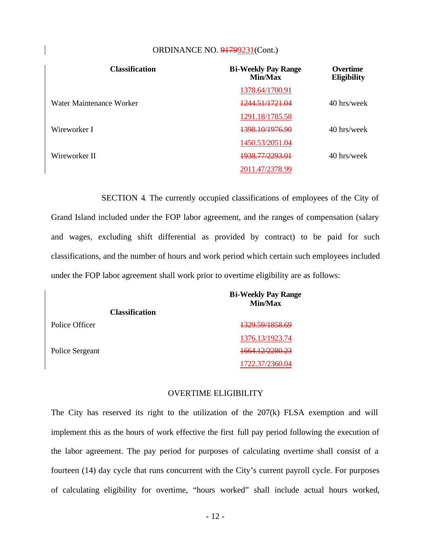| <b>Classification</b>    | <b>Bi-Weekly Pay Range</b><br>Min/Max | <b>Overtime</b><br><b>Eligibility</b> |
|--------------------------|---------------------------------------|---------------------------------------|
|                          | 1378.64/1700.91                       |                                       |
| Water Maintenance Worker | <u>1244 51/1721 04</u>                | 40 hrs/week                           |
|                          | 1291.18/1785.58                       |                                       |
| Wireworker I             | 1398.10/1976.90                       | 40 hrs/week                           |
|                          | 1450.53/2051.04                       |                                       |
| Wireworker II            | <del>1938.77/2293.01</del>            | 40 hrs/week                           |
|                          | 2011.47/2378.99                       |                                       |

SECTION 4. The currently occupied classifications of employees of the City of Grand Island included under the FOP labor agreement, and the ranges of compensation (salary and wages, excluding shift differential as provided by contract) to be paid for such classifications, and the number of hours and work period which certain such employees included under the FOP labor agreement shall work prior to overtime eligibility are as follows:

|                       | <b>Bi-Weekly Pay Range</b><br>Min/Max |
|-----------------------|---------------------------------------|
| <b>Classification</b> |                                       |
| Police Officer        | 1329.59/1858.69                       |
|                       | 1376.13/1923.74                       |
| Police Sergeant       | 1664.12/2280.23                       |
|                       | 1722.37/2360.04                       |

#### OVERTIME ELIGIBILITY

The City has reserved its right to the utilization of the 207(k) FLSA exemption and will implement this as the hours of work effective the first full pay period following the execution of the labor agreement. The pay period for purposes of calculating overtime shall consist of a fourteen (14) day cycle that runs concurrent with the City's current payroll cycle. For purposes of calculating eligibility for overtime, "hours worked" shall include actual hours worked,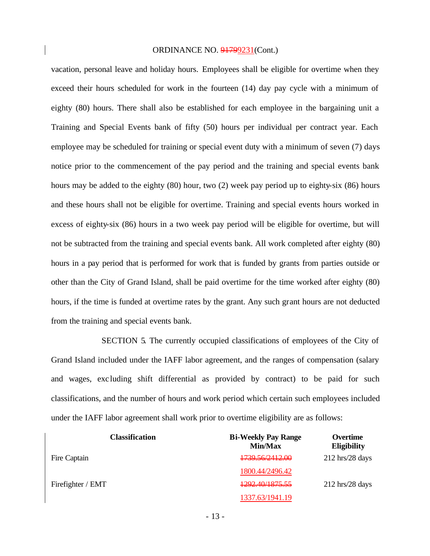vacation, personal leave and holiday hours. Employees shall be eligible for overtime when they exceed their hours scheduled for work in the fourteen (14) day pay cycle with a minimum of eighty (80) hours. There shall also be established for each employee in the bargaining unit a Training and Special Events bank of fifty (50) hours per individual per contract year. Each employee may be scheduled for training or special event duty with a minimum of seven (7) days notice prior to the commencement of the pay period and the training and special events bank hours may be added to the eighty (80) hour, two (2) week pay period up to eighty-six (86) hours and these hours shall not be eligible for overtime. Training and special events hours worked in excess of eighty-six (86) hours in a two week pay period will be eligible for overtime, but will not be subtracted from the training and special events bank. All work completed after eighty (80) hours in a pay period that is performed for work that is funded by grants from parties outside or other than the City of Grand Island, shall be paid overtime for the time worked after eighty (80) hours, if the time is funded at overtime rates by the grant. Any such grant hours are not deducted from the training and special events bank.

SECTION 5. The currently occupied classifications of employees of the City of Grand Island included under the IAFF labor agreement, and the ranges of compensation (salary and wages, exc luding shift differential as provided by contract) to be paid for such classifications, and the number of hours and work period which certain such employees included under the IAFF labor agreement shall work prior to overtime eligibility are as follows:

| <b>Classification</b> | <b>Bi-Weekly Pay Range</b><br>Min/Max | Overtime<br><b>Eligibility</b>    |
|-----------------------|---------------------------------------|-----------------------------------|
| Fire Captain          | <del>1739.56/2412.00</del>            | $212 \text{ hrs}/28 \text{ days}$ |
|                       | 1800.44/2496.42                       |                                   |
| Firefighter / EMT     | <del>1292.40/1875.55</del>            | $212 \text{ hrs}/28 \text{ days}$ |
|                       | 1337.63/1941.19                       |                                   |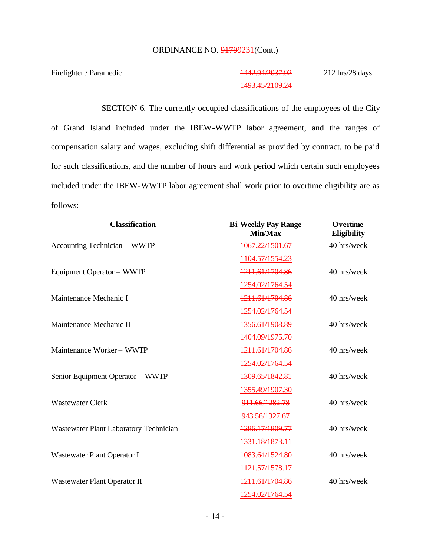Firefighter / Paramedic 1442.94/2037.92

# 1493.45/2109.24

212 hrs/28 days

SECTION 6. The currently occupied classifications of the employees of the City of Grand Island included under the IBEW-WWTP labor agreement, and the ranges of compensation salary and wages, excluding shift differential as provided by contract, to be paid for such classifications, and the number of hours and work period which certain such employees included under the IBEW-WWTP labor agreement shall work prior to overtime eligibility are as follows:

| <b>Classification</b>                  | <b>Bi-Weekly Pay Range</b><br>Min/Max | Overtime<br>Eligibility |
|----------------------------------------|---------------------------------------|-------------------------|
| Accounting Technician - WWTP           | 1067.22/1501.67                       | 40 hrs/week             |
|                                        | 1104.57/1554.23                       |                         |
| Equipment Operator - WWTP              | 1211.61/1704.86                       | 40 hrs/week             |
|                                        | 1254.02/1764.54                       |                         |
| Maintenance Mechanic I                 | 1211.61/1704.86                       | 40 hrs/week             |
|                                        | 1254.02/1764.54                       |                         |
| Maintenance Mechanic II                | 1356.61/1908.89                       | 40 hrs/week             |
|                                        | 1404.09/1975.70                       |                         |
| Maintenance Worker - WWTP              | 1211.61/1704.86                       | 40 hrs/week             |
|                                        | 1254.02/1764.54                       |                         |
| Senior Equipment Operator - WWTP       | 1309.65/1842.81                       | 40 hrs/week             |
|                                        | 1355.49/1907.30                       |                         |
| <b>Wastewater Clerk</b>                | 911.66/1282.78                        | 40 hrs/week             |
|                                        | 943.56/1327.67                        |                         |
| Wastewater Plant Laboratory Technician | 1286.17/1809.77                       | 40 hrs/week             |
|                                        | 1331.18/1873.11                       |                         |
| Wastewater Plant Operator I            | 1083.64/1524.80                       | 40 hrs/week             |
|                                        | 1121.57/1578.17                       |                         |
| Wastewater Plant Operator II           | 1211.61/1704.86                       | 40 hrs/week             |
|                                        | 1254.02/1764.54                       |                         |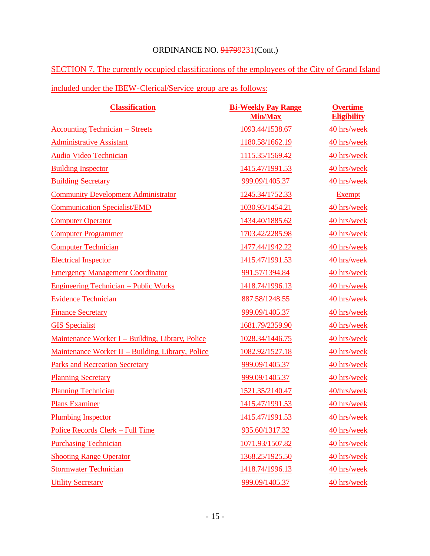$\overline{\phantom{a}}$ 

SECTION 7. The currently occupied classifications of the employees of the City of Grand Island included under the IBEW-Clerical/Service group are as follows:

| <b>Classification</b>                             | <b>Bi-Weekly Pay Range</b><br><b>Min/Max</b> | <b>Overtime</b><br><b>Eligibility</b> |
|---------------------------------------------------|----------------------------------------------|---------------------------------------|
| <b>Accounting Technician – Streets</b>            | 1093.44/1538.67                              | 40 hrs/week                           |
| <b>Administrative Assistant</b>                   | 1180.58/1662.19                              | 40 hrs/week                           |
| Audio Video Technician                            | 1115.35/1569.42                              | 40 hrs/week                           |
| <b>Building Inspector</b>                         | 1415.47/1991.53                              | 40 hrs/week                           |
| <b>Building Secretary</b>                         | 999.09/1405.37                               | 40 hrs/week                           |
| <b>Community Development Administrator</b>        | 1245.34/1752.33                              | <b>Exempt</b>                         |
| <b>Communication Specialist/EMD</b>               | 1030.93/1454.21                              | 40 hrs/week                           |
| <b>Computer Operator</b>                          | 1434.40/1885.62                              | 40 hrs/week                           |
| <b>Computer Programmer</b>                        | 1703.42/2285.98                              | 40 hrs/week                           |
| <b>Computer Technician</b>                        | 1477.44/1942.22                              | 40 hrs/week                           |
| <b>Electrical Inspector</b>                       | 1415.47/1991.53                              | 40 hrs/week                           |
| <b>Emergency Management Coordinator</b>           | 991.57/1394.84                               | 40 hrs/week                           |
| <b>Engineering Technician – Public Works</b>      | 1418.74/1996.13                              | 40 hrs/week                           |
| <b>Evidence Technician</b>                        | 887.58/1248.55                               | 40 hrs/week                           |
| <b>Finance Secretary</b>                          | 999.09/1405.37                               | 40 hrs/week                           |
| <b>GIS</b> Specialist                             | 1681.79/2359.90                              | 40 hrs/week                           |
| Maintenance Worker I – Building, Library, Police  | 1028.34/1446.75                              | 40 hrs/week                           |
| Maintenance Worker II - Building, Library, Police | 1082.92/1527.18                              | 40 hrs/week                           |
| <b>Parks and Recreation Secretary</b>             | 999.09/1405.37                               | 40 hrs/week                           |
| <b>Planning Secretary</b>                         | 999.09/1405.37                               | 40 hrs/week                           |
| <b>Planning Technician</b>                        | 1521.35/2140.47                              | 40/hrs/week                           |
| <b>Plans Examiner</b>                             | 1415.47/1991.53                              | 40 hrs/week                           |
| <b>Plumbing Inspector</b>                         | 1415.47/1991.53                              | 40 hrs/week                           |
| Police Records Clerk - Full Time                  | 935.60/1317.32                               | 40 hrs/week                           |
| <b>Purchasing Technician</b>                      | 1071.93/1507.82                              | 40 hrs/week                           |
| <b>Shooting Range Operator</b>                    | 1368.25/1925.50                              | 40 hrs/week                           |
| <b>Stormwater Technician</b>                      | 1418.74/1996.13                              | 40 hrs/week                           |
| <b>Utility Secretary</b>                          | 999.09/1405.37                               | 40 hrs/week                           |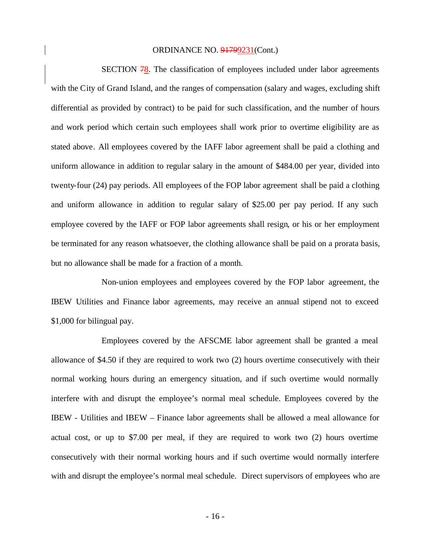SECTION 78. The classification of employees included under labor agreements with the City of Grand Island, and the ranges of compensation (salary and wages, excluding shift differential as provided by contract) to be paid for such classification, and the number of hours and work period which certain such employees shall work prior to overtime eligibility are as stated above. All employees covered by the IAFF labor agreement shall be paid a clothing and uniform allowance in addition to regular salary in the amount of \$484.00 per year, divided into twenty-four (24) pay periods. All employees of the FOP labor agreement shall be paid a clothing and uniform allowance in addition to regular salary of \$25.00 per pay period. If any such employee covered by the IAFF or FOP labor agreements shall resign, or his or her employment be terminated for any reason whatsoever, the clothing allowance shall be paid on a prorata basis, but no allowance shall be made for a fraction of a month.

Non-union employees and employees covered by the FOP labor agreement, the IBEW Utilities and Finance labor agreements, may receive an annual stipend not to exceed \$1,000 for bilingual pay.

Employees covered by the AFSCME labor agreement shall be granted a meal allowance of \$4.50 if they are required to work two (2) hours overtime consecutively with their normal working hours during an emergency situation, and if such overtime would normally interfere with and disrupt the employee's normal meal schedule. Employees covered by the IBEW - Utilities and IBEW – Finance labor agreements shall be allowed a meal allowance for actual cost, or up to \$7.00 per meal, if they are required to work two (2) hours overtime consecutively with their normal working hours and if such overtime would normally interfere with and disrupt the employee's normal meal schedule. Direct supervisors of employees who are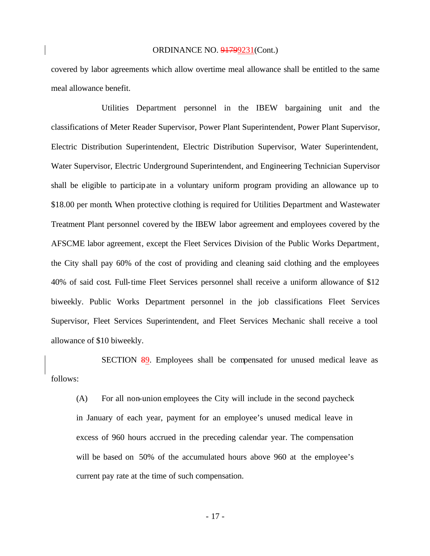covered by labor agreements which allow overtime meal allowance shall be entitled to the same meal allowance benefit.

Utilities Department personnel in the IBEW bargaining unit and the classifications of Meter Reader Supervisor, Power Plant Superintendent, Power Plant Supervisor, Electric Distribution Superintendent, Electric Distribution Supervisor, Water Superintendent, Water Supervisor, Electric Underground Superintendent, and Engineering Technician Supervisor shall be eligible to participate in a voluntary uniform program providing an allowance up to \$18.00 per month. When protective clothing is required for Utilities Department and Wastewater Treatment Plant personnel covered by the IBEW labor agreement and employees covered by the AFSCME labor agreement, except the Fleet Services Division of the Public Works Department, the City shall pay 60% of the cost of providing and cleaning said clothing and the employees 40% of said cost. Full-time Fleet Services personnel shall receive a uniform allowance of \$12 biweekly. Public Works Department personnel in the job classifications Fleet Services Supervisor, Fleet Services Superintendent, and Fleet Services Mechanic shall receive a tool allowance of \$10 biweekly.

SECTION 89. Employees shall be compensated for unused medical leave as follows:

(A) For all non-union employees the City will include in the second paycheck in January of each year, payment for an employee's unused medical leave in excess of 960 hours accrued in the preceding calendar year. The compensation will be based on 50% of the accumulated hours above 960 at the employee's current pay rate at the time of such compensation.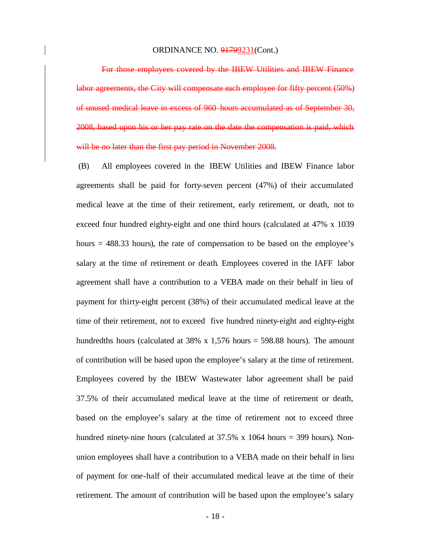For those employees covered by the IBEW Utilities and IBEW Finance labor agreements, the City will compensate each employee for fifty percent (50%) of unused medical leave in excess of 960 hours accumulated as of September 30, 2008, based upon his or her pay rate on the date the compensation is paid, which will be no later than the first pay period in November 2008.

(B) All employees covered in the IBEW Utilities and IBEW Finance labor agreements shall be paid for forty-seven percent (47%) of their accumulated medical leave at the time of their retirement, early retirement, or death, not to exceed four hundred eighty-eight and one third hours (calculated at 47% x 1039 hours = 488.33 hours), the rate of compensation to be based on the employee's salary at the time of retirement or death. Employees covered in the IAFF labor agreement shall have a contribution to a VEBA made on their behalf in lieu of payment for thirty-eight percent (38%) of their accumulated medical leave at the time of their retirement, not to exceed five hundred ninety-eight and eighty-eight hundredths hours (calculated at 38% x 1,576 hours = 598.88 hours). The amount of contribution will be based upon the employee's salary at the time of retirement. Employees covered by the IBEW Wastewater labor agreement shall be paid 37.5% of their accumulated medical leave at the time of retirement or death, based on the employee's salary at the time of retirement not to exceed three hundred ninety-nine hours (calculated at  $37.5\%$  x 1064 hours = 399 hours). Nonunion employees shall have a contribution to a VEBA made on their behalf in lieu of payment for one-half of their accumulated medical leave at the time of their retirement. The amount of contribution will be based upon the employee's salary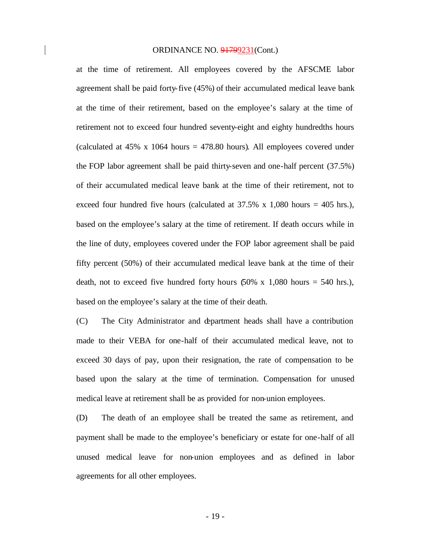at the time of retirement. All employees covered by the AFSCME labor agreement shall be paid forty-five (45%) of their accumulated medical leave bank at the time of their retirement, based on the employee's salary at the time of retirement not to exceed four hundred seventy-eight and eighty hundredths hours (calculated at  $45\%$  x 1064 hours =  $478.80$  hours). All employees covered under the FOP labor agreement shall be paid thirty-seven and one-half percent (37.5%) of their accumulated medical leave bank at the time of their retirement, not to exceed four hundred five hours (calculated at  $37.5\%$  x 1,080 hours = 405 hrs.), based on the employee's salary at the time of retirement. If death occurs while in the line of duty, employees covered under the FOP labor agreement shall be paid fifty percent (50%) of their accumulated medical leave bank at the time of their death, not to exceed five hundred forty hours  $(50\% \times 1,080 \text{ hours} = 540 \text{ hrs.})$ , based on the employee's salary at the time of their death.

(C) The City Administrator and department heads shall have a contribution made to their VEBA for one-half of their accumulated medical leave, not to exceed 30 days of pay, upon their resignation, the rate of compensation to be based upon the salary at the time of termination. Compensation for unused medical leave at retirement shall be as provided for non-union employees.

(D) The death of an employee shall be treated the same as retirement, and payment shall be made to the employee's beneficiary or estate for one-half of all unused medical leave for non-union employees and as defined in labor agreements for all other employees.